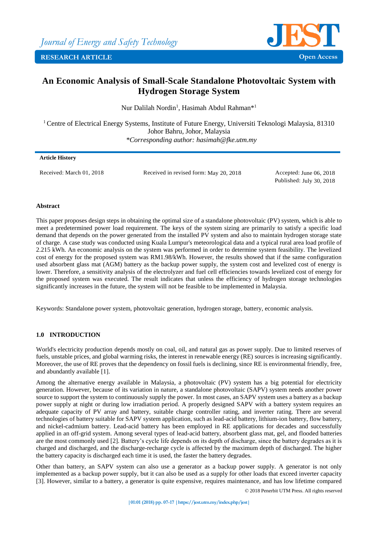

# **An Economic Analysis of Small-Scale Standalone Photovoltaic System with Hydrogen Storage System**

Nur Dalilah Nordin<sup>1</sup>, Hasimah Abdul Rahman<sup>\*1</sup>

<sup>1</sup> Centre of Electrical Energy Systems, Institute of Future Energy, Universiti Teknologi Malaysia, 81310 Johor Bahru, Johor, Malaysia *\*Corresponding author: hasimah@fke.utm.my*

## **Article History**

Received: March 01, 2018 Received in revised form: May 20, 2018 Accepted: June 06, 2018

Published: July 30, 2018

## **Abstract**

This paper proposes design steps in obtaining the optimal size of a standalone photovoltaic (PV) system, which is able to meet a predetermined power load requirement. The keys of the system sizing are primarily to satisfy a specific load demand that depends on the power generated from the installed PV system and also to maintain hydrogen storage state of charge. A case study was conducted using Kuala Lumpur's meteorological data and a typical rural area load profile of 2.215 kWh. An economic analysis on the system was performed in order to determine system feasibility. The levelized cost of energy for the proposed system was RM1.98/kWh. However, the results showed that if the same configuration used absorbent glass mat (AGM) battery as the backup power supply, the system cost and levelized cost of energy is lower. Therefore, a sensitivity analysis of the electrolyzer and fuel cell efficiencies towards levelized cost of energy for the proposed system was executed. The result indicates that unless the efficiency of hydrogen storage technologies significantly increases in the future, the system will not be feasible to be implemented in Malaysia.

Keywords: Standalone power system, photovoltaic generation, hydrogen storage, battery, economic analysis.

## **1.0 INTRODUCTION**

World's electricity production depends mostly on coal, oil, and natural gas as power supply. Due to limited reserves of fuels, unstable prices, and global warming risks, the interest in renewable energy (RE) sources is increasing significantly. Moreover, the use of RE proves that the dependency on fossil fuels is declining, since RE is environmental friendly, free, and abundantly available [\[1\]](#page-9-0).

Among the alternative energy available in Malaysia, a photovoltaic (PV) system has a big potential for electricity generation. However, because of its variation in nature, a standalone photovoltaic (SAPV) system needs another power source to support the system to continuously supply the power. In most cases, an SAPV system uses a battery as a backup power supply at night or during low irradiation period. A properly designed SAPV with a battery system requires an adequate capacity of PV array and battery, suitable charge controller rating, and inverter rating. There are several technologies of battery suitable for SAPV system application, such as lead-acid battery, lithium-ion battery, flow battery, and nickel-cadmium battery. Lead-acid battery has been employed in RE applications for decades and successfully applied in an off-grid system. Among several types of lead-acid battery, absorbent glass mat, gel, and flooded batteries are the most commonly used [\[2\]](#page-9-1). Battery's cycle life depends on its depth of discharge, since the battery degrades as it is charged and discharged, and the discharge-recharge cycle is affected by the maximum depth of discharged. The higher the battery capacity is discharged each time it is used, the faster the battery degrades.

Other than battery, an SAPV system can also use a generator as a backup power supply. A generator is not only implemented as a backup power supply, but it can also be used as a supply for other loads that exceed inverter capacity [\[3\]](#page-9-2). However, similar to a battery, a generator is quite expensive, requires maintenance, and has low lifetime compared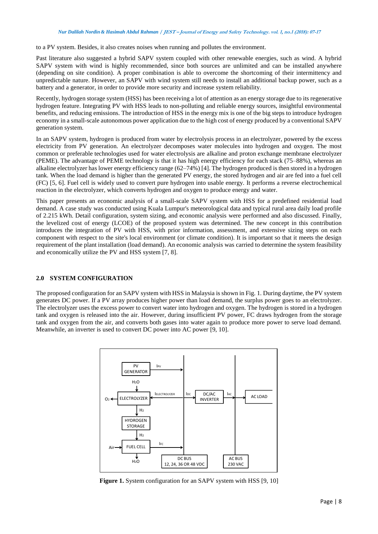#### *Nur Dalilah Nordin & Hasimah Abdul Rahman* **/ JEST – Journal of Energy and Safety Technology. vol. 1, no.1 (2018): 07-17**

to a PV system. Besides, it also creates noises when running and pollutes the environment.

Past literature also suggested a hybrid SAPV system coupled with other renewable energies, such as wind. A hybrid SAPV system with wind is highly recommended, since both sources are unlimited and can be installed anywhere (depending on site condition). A proper combination is able to overcome the shortcoming of their intermittency and unpredictable nature. However, an SAPV with wind system still needs to install an additional backup power, such as a battery and a generator, in order to provide more security and increase system reliability.

Recently, hydrogen storage system (HSS) has been receiving a lot of attention as an energy storage due to its regenerative hydrogen feature. Integrating PV with HSS leads to non-polluting and reliable energy sources, insightful environmental benefits, and reducing emissions. The introduction of HSS in the energy mix is one of the big steps to introduce hydrogen economy in a small-scale autonomous power application due to the high cost of energy produced by a conventional SAPV generation system.

In an SAPV system, hydrogen is produced from water by electrolysis process in an electrolyzer, powered by the excess electricity from PV generation. An electrolyzer decomposes water molecules into hydrogen and oxygen. The most common or preferable technologies used for water electrolysis are alkaline and proton exchange membrane electrolyzer (PEME). The advantage of PEME technology is that it has high energy efficiency for each stack (75–88%), whereas an alkaline electrolyzer has lower energy efficiency range (62–74%) [\[4\]](#page-9-3). The hydrogen produced is then stored in a hydrogen tank. When the load demand is higher than the generated PV energy, the stored hydrogen and air are fed into a fuel cell (FC) [\[5,](#page-9-4) [6\]](#page-9-5). Fuel cell is widely used to convert pure hydrogen into usable energy. It performs a reverse electrochemical reaction in the electrolyzer, which converts hydrogen and oxygen to produce energy and water.

This paper presents an economic analysis of a small-scale SAPV system with HSS for a predefined residential load demand. A case study was conducted using Kuala Lumpur's meteorological data and typical rural area daily load profile of 2.215 kWh. Detail configuration, system sizing, and economic analysis were performed and also discussed. Finally, the levelized cost of energy (LCOE) of the proposed system was determined. The new concept in this contribution introduces the integration of PV with HSS, with prior information, assessment, and extensive sizing steps on each component with respect to the site's local environment (or climate condition). It is important so that it meets the design requirement of the plant installation (load demand). An economic analysis was carried to determine the system feasibility and economically utilize the PV and HSS system [\[7,](#page-9-6) [8\]](#page-9-7).

## **2.0 SYSTEM CONFIGURATION**

The proposed configuration for an SAPV system with HSS in Malaysia is shown in Fig. 1. During daytime, the PV system generates DC power. If a PV array produces higher power than load demand, the surplus power goes to an electrolyzer. The electrolyzer uses the excess power to convert water into hydrogen and oxygen. The hydrogen is stored in a hydrogen tank and oxygen is released into the air. However, during insufficient PV power, FC draws hydrogen from the storage tank and oxygen from the air, and converts both gases into water again to produce more power to serve load demand. Meanwhile, an inverter is used to convert DC power into AC power [\[9,](#page-9-8) [10\]](#page-9-9).



**Figure 1.** System configuration for an SAPV system with HSS [\[9,](#page-9-8) [10\]](#page-9-9)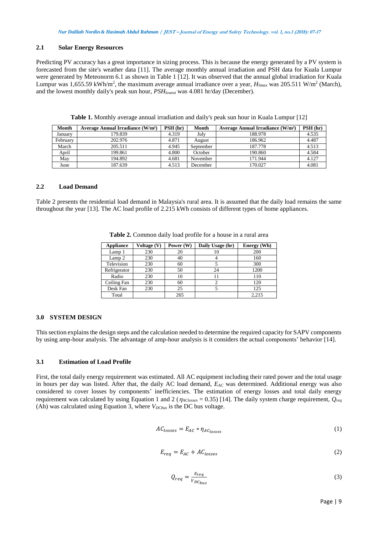## **2.1 Solar Energy Resources**

Predicting PV accuracy has a great importance in sizing process. This is because the energy generated by a PV system is forecasted from the site's weather data [\[11\]](#page-9-10). The average monthly annual irradiation and PSH data for Kuala Lumpur were generated by Meteonorm 6.1 as shown in Table 1 [\[12\]](#page-9-11). It was observed that the annual global irradiation for Kuala Lumpur was 1,655.59 kWh/m<sup>2</sup>, the maximum average annual irradiance over a year,  $H_{Smax}$  was 205.511 W/m<sup>2</sup> (March), and the lowest monthly daily's peak sun hour, *PSHlowest* was 4.081 hr/day (December).

| <b>Month</b> | Average Annual Irradiance (W/m <sup>2</sup> ) | PSH(hr) | Month     | Average Annual Irradiance (W/m <sup>2</sup> ) | PSH(hr) |
|--------------|-----------------------------------------------|---------|-----------|-----------------------------------------------|---------|
| January      | 179.839                                       | 4.319   | July      | 188.978                                       | 4.535   |
| February     | 202.976                                       | 4.871   | August    | 186.962                                       | 4.487   |
| March        | 205.511                                       | 4.945   | September | 187.778                                       | 4.513   |
| April        | 199.861                                       | 4.800   | October   | 190.860                                       | 4.584   |
| May          | 194.892                                       | 4.681   | November  | 171.944                                       | 4.127   |
| June         | 187.639                                       | 4.513   | December  | 170.027                                       | 4.081   |

**Table 1.** Monthly average annual irradiation and daily's peak sun hour in Kuala Lumpur [\[12\]](#page-9-11)

### **2.2 Load Demand**

Table 2 presents the residential load demand in Malaysia's rural area. It is assumed that the daily load remains the same throughout the year [\[13\]](#page-9-12). The AC load profile of 2.215 kWh consists of different types of home appliances.

| <b>Appliance</b> | Voltage (V) | Power (W) | Daily Usage (hr) | Energy (Wh) |
|------------------|-------------|-----------|------------------|-------------|
| Lamp 1           | 230         | 20        |                  | 200         |
| Lamp 2           | 230         | 40        |                  | 160         |
| Television       | 230         | 60        |                  | 300         |
| Refrigerator     | 230         | 50        | 24               | 1200        |
| Radio            | 230         | 10        |                  | 110         |
| Ceiling Fan      | 230         | 60        |                  | 120         |
| Desk Fan         | 230         | 25        |                  | 125         |
| Total            |             | 265       |                  | 2.215       |

**Table 2.** Common daily load profile for a house in a rural area

## **3.0 SYSTEM DESIGN**

This section explains the design steps and the calculation needed to determine the required capacity for SAPV components by using amp-hour analysis. The advantage of amp-hour analysis is it considers the actual components' behavior [\[14\]](#page-9-13).

## **3.1 Estimation of Load Profile**

First, the total daily energy requirement was estimated. All AC equipment including their rated power and the total usage in hours per day was listed. After that, the daily AC load demand, *EAC* was determined. Additional energy was also considered to cover losses by components' inefficiencies. The estimation of energy losses and total daily energy requirement was calculated by using Equation 1 and 2 ( $\eta_{AClosses} = 0.35$ ) [\[14\]](#page-9-13). The daily system charge requirement,  $Q_{req}$ (Ah) was calculated using Equation 3, where  $V_{DCbus}$  is the DC bus voltage.

$$
AC_{losses} = E_{AC} * \eta_{AC_{losses}} \tag{1}
$$

$$
E_{req} = E_{AC} + AC_{losses}
$$
 (2)

$$
Q_{req} = \frac{E_{req}}{V_{DC_{bus}}} \tag{3}
$$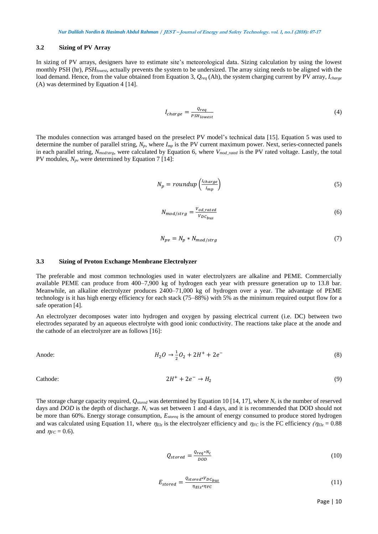#### **3.2 Sizing of PV Array**

In sizing of PV arrays, designers have to estimate site's meteorological data. Sizing calculation by using the lowest monthly PSH (hr), *PSHlowest*, actually prevents the system to be undersized. The array sizing needs to be aligned with the load demand. Hence, from the value obtained from Equation 3, *Qreq* (Ah), the system charging current by PV array, *Icharge* (A) was determined by Equation 4 [\[14\]](#page-9-13).

$$
I_{charge} = \frac{Q_{req}}{PSH_{lowest}}
$$
 (4)

The modules connection was arranged based on the preselect PV model's technical data [\[15\]](#page-9-14). Equation 5 was used to determine the number of parallel string, *Np*, where *Imp* is the PV current maximum power. Next, series-connected panels in each parallel string, *Nmod/strg*, were calculated by Equation 6, where *Vmod\_rated* is the PV rated voltage. Lastly, the total PV modules, *Npv* were determined by Equation 7 [\[14\]](#page-9-13):

$$
N_p = roundup\left(\frac{l_{charge}}{l_{mp}}\right) \tag{5}
$$

$$
N_{mod/strg} = \frac{V_{od\_rated}}{V_{DC_{bus}}} \tag{6}
$$

$$
N_{pv} = N_p * N_{mod/strg} \tag{7}
$$

#### **3.3 Sizing of Proton Exchange Membrane Electrolyzer**

The preferable and most common technologies used in water electrolyzers are alkaline and PEME. Commercially available PEME can produce from 400–7,900 kg of hydrogen each year with pressure generation up to 13.8 bar. Meanwhile, an alkaline electrolyzer produces 2400–71,000 kg of hydrogen over a year. The advantage of PEME technology is it has high energy efficiency for each stack (75–88%) with 5% as the minimum required output flow for a safe operation [\[4\]](#page-9-3).

An electrolyzer decomposes water into hydrogen and oxygen by passing electrical current (i.e. DC) between two electrodes separated by an aqueous electrolyte with good ionic conductivity. The reactions take place at the anode and the cathode of an electrolyzer are as follows [\[16\]](#page-9-15):

Anode: 
$$
H_2O \to \frac{1}{2}O_2 + 2H^+ + 2e^-
$$
 (8)

Cathode: 
$$
2H^+ + 2e^- \rightarrow H_2
$$
 (9)

The storage charge capacity required, *Qstored* was determined by Equation 10 [\[14,](#page-9-13) [17\]](#page-9-16), where *N<sup>c</sup>* is the number of reserved days and *DOD* is the depth of discharge. *N<sup>c</sup>* was set between 1 and 4 days, and it is recommended that DOD should not be more than 60%. Energy storage consumption, *Estoreq* is the amount of energy consumed to produce stored hydrogen and was calculated using Equation 11, where  $\eta_{E}$  is the electrolyzer efficiency and  $\eta_{FC}$  is the FC efficiency  $(\eta_{E}$  = 0.88 and  $\eta_{FC} = 0.6$ ).

$$
Q_{stored} = \frac{Q_{req} * N_C}{DOD} \tag{10}
$$

$$
E_{stored} = \frac{Q_{stored} * V_{DC_{bus}}}{\eta_{E1z} * \eta_{FC}}
$$
\n
$$
(11)
$$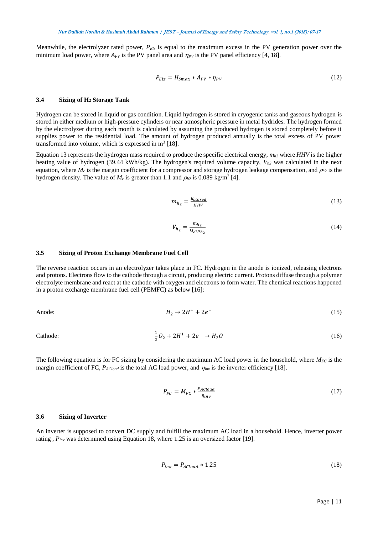Meanwhile, the electrolyzer rated power, *PElz* is equal to the maximum excess in the PV generation power over the minimum load power, where  $A_{PV}$  is the PV panel area and  $\eta_{PV}$  is the PV panel efficiency [\[4,](#page-9-3) [18\]](#page-10-0).

$$
P_{Elz} = H_{Smax} * A_{PV} * \eta_{PV}
$$
\n<sup>(12)</sup>

#### **3.4 Sizing of H<sup>2</sup> Storage Tank**

Hydrogen can be stored in liquid or gas condition. Liquid hydrogen is stored in cryogenic tanks and gaseous hydrogen is stored in either medium or high-pressure cylinders or near atmospheric pressure in metal hydrides. The hydrogen formed by the electrolyzer during each month is calculated by assuming the produced hydrogen is stored completely before it supplies power to the residential load. The amount of hydrogen produced annually is the total excess of PV power transformed into volume, which is expressed in  $m^3$  [\[18\]](#page-10-0).

Equation 13 represents the hydrogen mass required to produce the specific electrical energy,  $m_h$ <sub>2</sub> where *HHV* is the higher heating value of hydrogen (39.44 kWh/kg). The hydrogen's required volume capacity,  $V_{h2}$  was calculated in the next equation, where  $M_c$  is the margin coefficient for a compressor and storage hydrogen leakage compensation, and  $\rho_{h2}$  is the hydrogen density. The value of  $M_c$  is greater than 1.1 and  $\rho_{h2}$  is 0.089 kg/m<sup>2</sup> [\[4\]](#page-9-3).

$$
m_{h_2} = \frac{E_{stored}}{HHV} \tag{13}
$$

$$
V_{h_2} = \frac{m_{h_2}}{M_c * \rho_{h_2}}\tag{14}
$$

## **3.5 Sizing of Proton Exchange Membrane Fuel Cell**

The reverse reaction occurs in an electrolyzer takes place in FC. Hydrogen in the anode is ionized, releasing electrons and protons. Electrons flow to the cathode through a circuit, producing electric current. Protons diffuse through a polymer electrolyte membrane and react at the cathode with oxygen and electrons to form water. The chemical reactions happened in a proton exchange membrane fuel cell (PEMFC) as below [\[16\]](#page-9-15):

Anode: 
$$
H_2 \rightarrow 2H^+ + 2e^-
$$
 (15)

Cathode: 
$$
\frac{1}{2}O_2 + 2H^+ + 2e^- \rightarrow H_2O
$$
 (16)

The following equation is for FC sizing by considering the maximum AC load power in the household, where  $M_{FC}$  is the margin coefficient of FC,  $P_{ACload}$  is the total AC load power, and  $\eta_{inv}$  is the inverter efficiency [\[18\]](#page-10-0).

$$
P_{FC} = M_{FC} * \frac{P_{ACload}}{\eta_{inv}} \tag{17}
$$

#### **3.6 Sizing of Inverter**

An inverter is supposed to convert DC supply and fulfill the maximum AC load in a household. Hence, inverter power rating , *Pinv* was determined using Equation 18, where 1.25 is an oversized factor [\[19\]](#page-10-1).

$$
P_{inv} = P_{ACload} * 1.25 \tag{18}
$$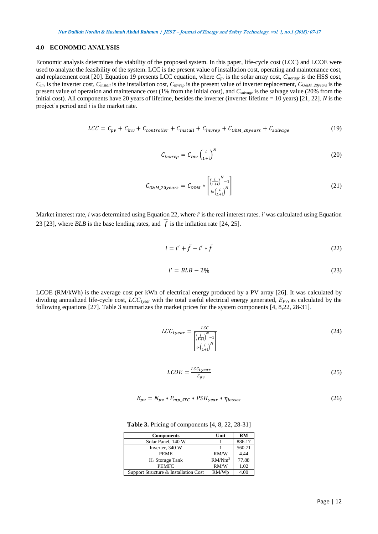#### **4.0 ECONOMIC ANALYSIS**

Economic analysis determines the viability of the proposed system. In this paper, life-cycle cost (LCC) and LCOE were used to analyze the feasibility of the system. LCC is the present value of installation cost, operating and maintenance cost, and replacement cost [\[20\]](#page-10-2). Equation 19 presents LCC equation, where *Cpv* is the solar array cost, *Cstorage* is the HSS cost, *Cinv* is the inverter cost, *Cinstall* is the installation cost, *Cinvrep* is the present value of inverter replacement, *CO&M\_20years* is the present value of operation and maintenance cost (1% from the initial cost), and *Csalvage* is the salvage value (20% from the initial cost). All components have 20 years of lifetime, besides the inverter (inverter lifetime = 10 years) [\[21,](#page-10-3) [22\]](#page-10-4). *N* is the project's period and *i* is the market rate.

$$
LCC = C_{pv} + C_{inv} + C_{contract} + C_{install} + C_{invrep} + C_{0&M_20years} + C_{salvage}
$$
 (19)

$$
C_{invrep} = C_{inv} \left(\frac{i}{1+i}\right)^N \tag{20}
$$

$$
C_{0\&M\_20years} = C_{0\&M} * \left[ \frac{\left(\frac{i}{1+i}\right)^N - 1}{i * \left(\frac{i}{1+i}\right)^N} \right] \tag{21}
$$

Market interest rate, *i* was determined using Equation 22, where *i'* is the real interest rates. *i'* was calculated using Equation 23 [\[23\]](#page-10-5), where *BLB* is the base lending rates, and  $f$  is the inflation rate [\[24,](#page-10-6) [25\]](#page-10-7).

$$
i = i' + \bar{f} - i' * \bar{f} \tag{22}
$$

$$
i' = BLB - 2\% \tag{23}
$$

LCOE (RM/kWh) is the average cost per kWh of electrical energy produced by a PV array [\[26\]](#page-10-8). It was calculated by dividing annualized life-cycle cost, *LCC1year* with the total useful electrical energy generated, *EPV*, as calculated by the following equations [\[27\]](#page-10-9). Table 3 summarizes the market prices for the system components [\[4,](#page-9-3) [8,](#page-9-7)[22,](#page-10-4) [28-31\]](#page-10-10).

$$
LCC_{1year} = \frac{LCC}{\left[\frac{\left(\frac{i}{1+i}\right)^{N} - 1}{i * \left(\frac{i}{1+i}\right)^{N}\right]}}
$$
(24)

$$
LCOE = \frac{LCC_{1year}}{E_{pv}} \tag{25}
$$

$$
E_{pv} = N_{pv} * P_{mp\_STC} * PSH_{year} * \eta_{losses}
$$
\n
$$
(26)
$$

**Table 3.** Pricing of components [\[4,](#page-9-3) [8,](#page-9-7) [22,](#page-10-4) [28-31\]](#page-10-10)

| <b>Components</b>                     | Unit               | RM     |
|---------------------------------------|--------------------|--------|
| Solar Panel, 140 W                    |                    | 886.17 |
| Inverter, 340 W                       |                    | 560.71 |
| <b>PEME</b>                           | RM/W               | 4.44   |
| H <sub>2</sub> Storage Tank           | RM/Nm <sup>3</sup> | 77.88  |
| <b>PEMFC</b>                          | RM/W               | 1.02   |
| Support Structure & Installation Cost | RM/Wp              | 4.00   |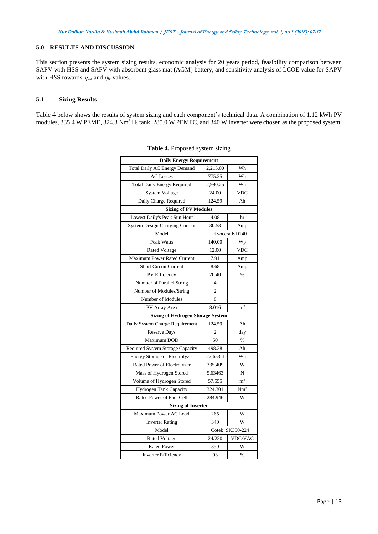# **5.0 RESULTS AND DISCUSSION**

This section presents the system sizing results, economic analysis for 20 years period, feasibility comparison between SAPV with HSS and SAPV with absorbent glass mat (AGM) battery, and sensitivity analysis of LCOE value for SAPV with HSS towards  $\eta_{elz}$  and  $\eta_{fc}$  values.

## **5.1 Sizing Results**

Table 4 below shows the results of system sizing and each component's technical data. A combination of 1.12 kWh PV modules, 335.4 W PEME, 324.3 Nm<sup>3</sup> H<sub>2</sub> tank, 285.0 W PEMFC, and 340 W inverter were chosen as the proposed system.

| <b>Daily Energy Requirement</b>          |                |                 |
|------------------------------------------|----------------|-----------------|
| Total Daily AC Energy Demand             | 2,215.00       | Wh              |
| <b>AC</b> Losses                         | 775.25         | Wh              |
| <b>Total Daily Energy Required</b>       | 2,990.25       | Wh              |
| System Voltage                           | 24.00          | <b>VDC</b>      |
| Daily Charge Required                    | 124.59         | Ah              |
| <b>Sizing of PV Modules</b>              |                |                 |
| Lowest Daily's Peak Sun Hour             | 4.08           | hr              |
| System Design Charging Current           | 30.53          | Amp             |
| Model                                    | Kyocera KD140  |                 |
| Peak Watts                               | 140.00         | Wp              |
| <b>Rated Voltage</b>                     | 12.00          | <b>VDC</b>      |
| <b>Maximum Power Rated Current</b>       | 7.91           | Amp             |
| <b>Short Circuit Current</b>             | 8.68           | Amp             |
| PV Efficiency                            | 20.40          | %               |
| Number of Parallel String                | 4              |                 |
| Number of Modules/String                 | $\overline{2}$ |                 |
| Number of Modules                        | 8              |                 |
| PV Array Area                            | 8.016          | m <sup>2</sup>  |
| <b>Sizing of Hydrogen Storage System</b> |                |                 |
| Daily System Charge Requirement          | 124.59         | Ah              |
| <b>Reserve Days</b>                      | $\overline{2}$ | day             |
| Maximum DOD                              | 50             | $\frac{0}{0}$   |
| Required System Storage Capacity         | 498.38         | Ah              |
| Energy Storage of Electrolyzer           | 22,653.4       | Wh              |
| Rated Power of Electrolyzer              | 335.409        | W               |
| Mass of Hydrogen Stored                  | 5.63463        | N               |
| Volume of Hydrogen Stored                | 57.555         | $\rm m^3$       |
| Hydrogen Tank Capacity                   | 324.301        | Nm <sup>3</sup> |
| Rated Power of Fuel Cell                 | 284.946        | W               |
| <b>Sizing of Inverter</b>                |                |                 |
| Maximum Power AC Load                    | 265            | W               |
| <b>Inverter Rating</b>                   | 340            | W               |
| Model                                    |                | Cotek SK350-224 |
| <b>Rated Voltage</b>                     | 24/230         | VDC/VAC         |
| <b>Rated Power</b>                       | 350            | W               |
| <b>Inverter Efficiency</b>               | 93             | $\frac{9}{6}$   |

| Table 4. Proposed system sizing |  |  |  |  |
|---------------------------------|--|--|--|--|
|---------------------------------|--|--|--|--|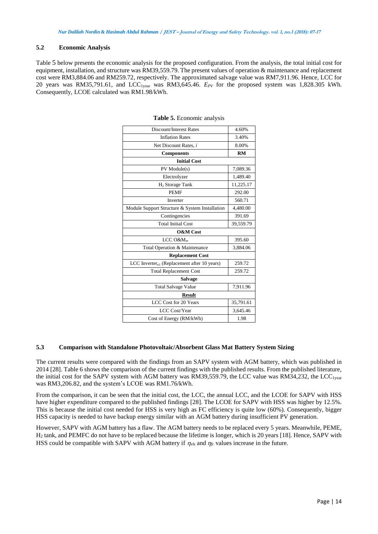## **5.2 Economic Analysis**

Table 5 below presents the economic analysis for the proposed configuration. From the analysis, the total initial cost for equipment, installation, and structure was RM39,559.79. The present values of operation & maintenance and replacement cost were RM3,884.06 and RM259.72, respectively. The approximated salvage value was RM7,911.96. Hence, LCC for 20 years was RM35,791.61, and LCC1year was RM3,645.46. *EPV* for the proposed system was 1,828.305 kWh. Consequently, LCOE calculated was RM1.98/kWh.

| Discount/Interest Rates                                 | 4.60%     |  |
|---------------------------------------------------------|-----------|--|
| <b>Inflation Rates</b>                                  | 3.40%     |  |
| Net Discount Rates, i                                   | 8.00%     |  |
| <b>Components</b>                                       | RM        |  |
| <b>Initial Cost</b>                                     |           |  |
| PV Module(s)                                            | 7,089.36  |  |
| Electrolyzer                                            | 1,489.40  |  |
| H <sub>2</sub> Storage Tank                             | 11,225.17 |  |
| <b>PEMF</b>                                             | 292.00    |  |
| Inverter                                                | 560.71    |  |
| Module Support Structure & System Installation          | 4,480.00  |  |
| Contingencies                                           | 391.69    |  |
| <b>Total Initial Cost</b>                               | 39,559.79 |  |
| <b>O&amp;M</b> Cost                                     |           |  |
| $LCC O\&Mm$                                             | 395.60    |  |
| Total Operation & Maintenance                           | 3,884.06  |  |
| <b>Replacement Cost</b>                                 |           |  |
| LCC Inverter <sub>n1</sub> (Replacement after 10 years) | 259.72    |  |
| <b>Total Replacement Cost</b>                           | 259.72    |  |
| <b>Salvage</b>                                          |           |  |
| <b>Total Salvage Value</b>                              | 7,911.96  |  |
| <b>Result</b>                                           |           |  |
| LCC Cost for 20 Years                                   | 35,791.61 |  |
| LCC Cost/Year                                           | 3,645.46  |  |
| Cost of Energy (RM/kWh)                                 | 1.98      |  |

#### **Table 5.** Economic analysis

## **5.3 Comparison with Standalone Photovoltaic/Absorbent Glass Mat Battery System Sizing**

The current results were compared with the findings from an SAPV system with AGM battery, which was published in 2014 [28]. Table 6 shows the comparison of the current findings with the published results. From the published literature, the initial cost for the SAPV system with AGM battery was RM39,559.79, the LCC value was RM34,232, the LCC<sub>1year</sub> was RM3,206.82, and the system's LCOE was RM1.76/kWh.

From the comparison, it can be seen that the initial cost, the LCC, the annual LCC, and the LCOE for SAPV with HSS have higher expenditure compared to the published findings [28]. The LCOE for SAPV with HSS was higher by 12.5%. This is because the initial cost needed for HSS is very high as FC efficiency is quite low (60%). Consequently, bigger HSS capacity is needed to have backup energy similar with an AGM battery during insufficient PV generation.

However, SAPV with AGM battery has a flaw. The AGM battery needs to be replaced every 5 years. Meanwhile, PEME, H<sup>2</sup> tank, and PEMFC do not have to be replaced because the lifetime is longer, which is 20 years [18]. Hence, SAPV with HSS could be compatible with SAPV with AGM battery if  $\eta_{elz}$  and  $\eta_{fc}$  values increase in the future.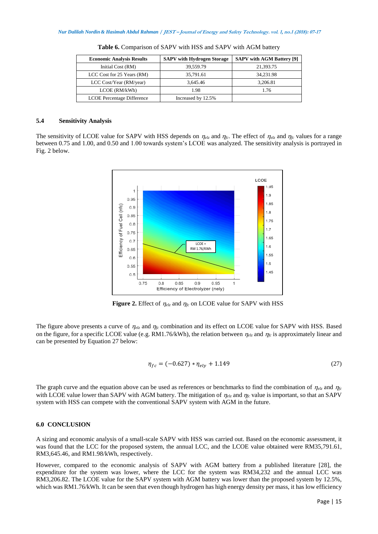| <b>Economic Analysis Results</b> | <b>SAPV</b> with Hydrogen Storage | <b>SAPV with AGM Battery [9]</b> |
|----------------------------------|-----------------------------------|----------------------------------|
| Initial Cost (RM)                | 39,559.79                         | 21,393.75                        |
| LCC Cost for 25 Years (RM)       | 35,791.61                         | 34,231.98                        |
| LCC Cost/Year (RM/year)          | 3.645.46                          | 3,206.81                         |
| LCOE (RM/kWh)                    | 1.98                              | 1.76                             |
| LCOE Percentage Difference       | Increased by 12.5%                |                                  |

**Table 6.** Comparison of SAPV with HSS and SAPV with AGM battery

## **5.4 Sensitivity Analysis**

The sensitivity of LCOE value for SAPV with HSS depends on  $\eta_{elz}$  and  $\eta_{ic}$ . The effect of  $\eta_{elz}$  and  $\eta_{ic}$  values for a range between 0.75 and 1.00, and 0.50 and 1.00 towards system's LCOE was analyzed. The sensitivity analysis is portrayed in Fig. 2 below.



**Figure 2.** Effect of  $\eta_{elz}$  and  $\eta_{fc}$  on LCOE value for SAPV with HSS

The figure above presents a curve of  $\eta_{elz}$  and  $\eta_{fc}$  combination and its effect on LCOE value for SAPV with HSS. Based on the figure, for a specific LCOE value (e.g. RM1.76/kWh), the relation between  $\eta_{elz}$  and  $\eta_{fc}$  is approximately linear and can be presented by Equation 27 below:

$$
\eta_{fc} = (-0.627) * \eta_{ely} + 1.149\tag{27}
$$

The graph curve and the equation above can be used as references or benchmarks to find the combination of  $\eta_{e\zeta}$  and  $\eta_{\zeta}$ with LCOE value lower than SAPV with AGM battery. The mitigation of  $\eta_{el}$  and  $\eta_{fc}$  value is important, so that an SAPV system with HSS can compete with the conventional SAPV system with AGM in the future.

## **6.0 CONCLUSION**

A sizing and economic analysis of a small-scale SAPV with HSS was carried out. Based on the economic assessment, it was found that the LCC for the proposed system, the annual LCC, and the LCOE value obtained were RM35,791.61, RM3,645.46, and RM1.98/kWh, respectively.

However, compared to the economic analysis of SAPV with AGM battery from a published literature [28], the expenditure for the system was lower, where the LCC for the system was RM34,232 and the annual LCC was RM3,206.82. The LCOE value for the SAPV system with AGM battery was lower than the proposed system by 12.5%, which was RM1.76/kWh. It can be seen that even though hydrogen has high energy density per mass, it has low efficiency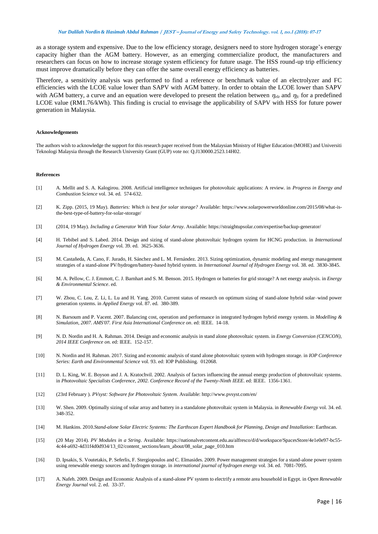## *Nur Dalilah Nordin & Hasimah Abdul Rahman* **/ JEST – Journal of Energy and Safety Technology. vol. 1, no.1 (2018): 07-17**

as a storage system and expensive. Due to the low efficiency storage, designers need to store hydrogen storage's energy capacity higher than the AGM battery. However, as an emerging commercialize product, the manufacturers and researchers can focus on how to increase storage system efficiency for future usage. The HSS round-up trip efficiency must improve dramatically before they can offer the same overall energy efficiency as batteries.

Therefore, a sensitivity analysis was performed to find a reference or benchmark value of an electrolyzer and FC efficiencies with the LCOE value lower than SAPV with AGM battery. In order to obtain the LCOE lower than SAPV with AGM battery, a curve and an equation were developed to present the relation between  $\eta_{elz}$  and  $\eta_{fc}$  for a predefined LCOE value (RM1.76/kWh). This finding is crucial to envisage the applicability of SAPV with HSS for future power generation in Malaysia.

#### **Acknowledgements**

The authors wish to acknowledge the support for this research paper received from the Malaysian Ministry of Higher Education (MOHE) and Universiti Teknologi Malaysia through the Research University Grant (GUP) vote no: Q.J130000.2523.14H02.

#### **References**

- <span id="page-9-0"></span>[1] A. Mellit and S. A. Kalogirou. 2008. Artificial intelligence techniques for photovoltaic applications: A review. in *Progress in Energy and Combustion Science* vol. 34. ed. 574-632.
- <span id="page-9-1"></span>[2] K. Zipp. (2015, 19 May). *Batteries: Which is best for solar storage?* Available: https:[//www.solarpowerworldonline.com/2015/08/what-is](http://www.solarpowerworldonline.com/2015/08/what-is-the-best-type-of-battery-for-solar-storage/)[the-best-type-of-battery-for-solar-storage/](http://www.solarpowerworldonline.com/2015/08/what-is-the-best-type-of-battery-for-solar-storage/)
- <span id="page-9-2"></span>[3] (2014, 19 May). *Including a Generator With Your Solar Array*. Available: https://straightupsolar.com/expertise/backup-generator/
- <span id="page-9-3"></span>[4] H. Tebibel and S. Labed. 2014. Design and sizing of stand-alone photovoltaic hydrogen system for HCNG production. in *International Journal of Hydrogen Energy* vol. 39. ed. 3625-3636.
- <span id="page-9-4"></span>[5] M. Castañeda, A. Cano, F. Jurado, H. Sánchez and L. M. Fernández. 2013. Sizing optimization, dynamic modeling and energy management strategies of a stand-alone PV/hydrogen/battery-based hybrid system. in *International Journal of Hydrogen Energy* vol. 38. ed. 3830-3845.
- <span id="page-9-5"></span>[6] M. A. Pellow, C. J. Emmott, C. J. Barnhart and S. M. Benson. 2015. Hydrogen or batteries for grid storage? A net energy analysis. in *Energy & Environmental Science*. ed.
- <span id="page-9-6"></span>[7] W. Zhou, C. Lou, Z. Li, L. Lu and H. Yang. 2010. Current status of research on optimum sizing of stand-alone hybrid solar–wind power generation systems. in *Applied Energy* vol. 87. ed. 380-389.
- <span id="page-9-7"></span>[8] N. Barsoum and P. Vacent. 2007. Balancing cost, operation and performance in integrated hydrogen hybrid energy system. in *Modelling & Simulation, 2007. AMS'07. First Asia International Conference on*. ed: IEEE. 14-18.
- <span id="page-9-8"></span>[9] N. D. Nordin and H. A. Rahman. 2014. Design and economic analysis in stand alone photovoltaic system. in *Energy Conversion (CENCON), 2014 IEEE Conference on*. ed: IEEE. 152-157.
- <span id="page-9-9"></span>[10] N. Nordin and H. Rahman. 2017. Sizing and economic analysis of stand alone photovoltaic system with hydrogen storage. in *IOP Conference Series: Earth and Environmental Science* vol. 93. ed: IOP Publishing. 012068.
- <span id="page-9-10"></span>[11] D. L. King, W. E. Boyson and J. A. Kratochvil. 2002. Analysis of factors influencing the annual energy production of photovoltaic systems. in *Photovoltaic Specialists Conference, 2002. Conference Record of the Twenty-Ninth IEEE*. ed: IEEE. 1356-1361.
- <span id="page-9-11"></span>[12] (23rd February ). *PVsyst: Software for Photovoltaic System*. Available:<http://www.pvsyst.com/en/>
- <span id="page-9-12"></span>[13] W. Shen. 2009. Optimally sizing of solar array and battery in a standalone photovoltaic system in Malaysia. in *Renewable Energy* vol. 34. ed. 348-352.
- <span id="page-9-13"></span>[14] M. Hankins. 2010.*Stand-alone Solar Electric Systems: The Earthscan Expert Handbook for Planning, Design and Installation*: Earthscan.
- <span id="page-9-14"></span>[15] (20 May 2014). *PV Modules in a String*. Available: https://nationalvetcontent.edu.au/alfresco/d/d/workspace/SpacesStore/4e1e0e97-bc55- 4c44-a692-4d31f4d0d934/13\_02/content\_sections/learn\_about/08\_solar\_page\_010.htm
- <span id="page-9-15"></span>[16] D. Ipsakis, S. Voutetakis, P. Seferlis, F. Stergiopoulos and C. Elmasides. 2009. Power management strategies for a stand-alone power system using renewable energy sources and hydrogen storage. in *international journal of hydrogen energy* vol. 34. ed. 7081-7095.
- <span id="page-9-16"></span>[17] A. Nafeh. 2009. Design and Economic Analysis of a stand-alone PV system to electrify a remote area household in Egypt. in *Open Renewable Energy Journal* vol. 2. ed. 33-37.